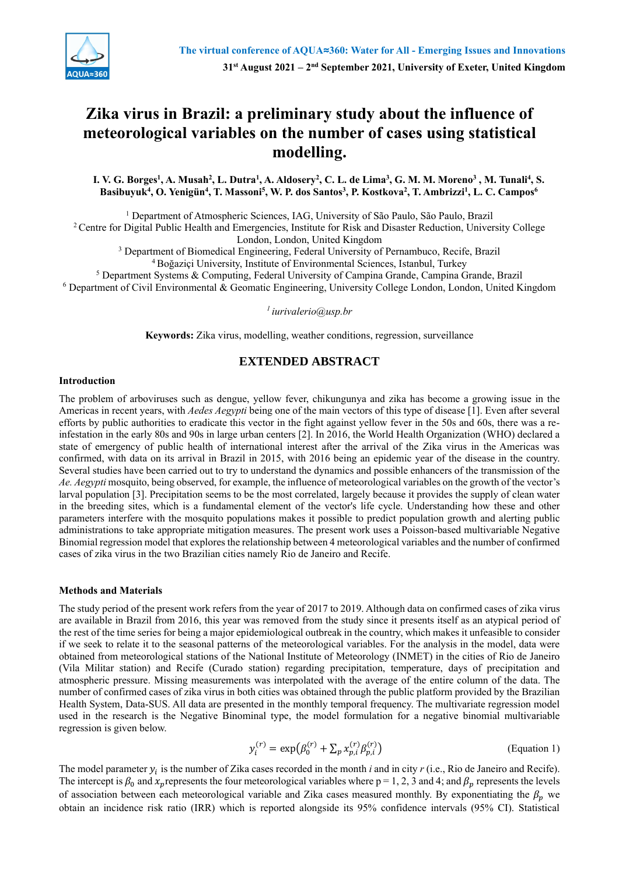

# **Zika virus in Brazil: a preliminary study about the influence of meteorological variables on the number of cases using statistical modelling.**

I. V. G. Borges<sup>1</sup>, A. Musah<sup>2</sup>, L. Dutra<sup>1</sup>, A. Aldosery<sup>2</sup>, C. L. de Lima<sup>3</sup>, G. M. M. Moreno<sup>3</sup> , M. Tunali<sup>4</sup>, S. Basibuyuk<sup>4</sup>, O. Yenigün<sup>4</sup>, T. Massoni<sup>5</sup>, W. P. dos Santos<sup>3</sup>, P. Kostkova<sup>2</sup>, T. Ambrizzi<sup>1</sup>, L. C. Campos<sup>6</sup>

<sup>1</sup> Department of Atmospheric Sciences, IAG, University of São Paulo, São Paulo, Brazil

<sup>2</sup> Centre for Digital Public Health and Emergencies, Institute for Risk and Disaster Reduction, University College London, London, United Kingdom

<sup>3</sup> Department of Biomedical Engineering, Federal University of Pernambuco, Recife, Brazil

<sup>4</sup>Boğaziçi University, Institute of Environmental Sciences, Istanbul, Turkey

<sup>5</sup> Department Systems & Computing, Federal University of Campina Grande, Campina Grande, Brazil

<sup>6</sup> Department of Civil Environmental & Geomatic Engineering, University College London, London, United Kingdom

*<sup>1</sup>iurivalerio@usp.br*

**Keywords:** Zika virus, modelling, weather conditions, regression, surveillance

## **EXTENDED ABSTRACT**

#### **Introduction**

The problem of arboviruses such as dengue, yellow fever, chikungunya and zika has become a growing issue in the Americas in recent years, with *Aedes Aegypti* being one of the main vectors of this type of disease [1]. Even after several efforts by public authorities to eradicate this vector in the fight against yellow fever in the 50s and 60s, there was a reinfestation in the early 80s and 90s in large urban centers [2]. In 2016, the World Health Organization (WHO) declared a state of emergency of public health of international interest after the arrival of the Zika virus in the Americas was confirmed, with data on its arrival in Brazil in 2015, with 2016 being an epidemic year of the disease in the country. Several studies have been carried out to try to understand the dynamics and possible enhancers of the transmission of the *Ae. Aegypti* mosquito, being observed, for example, the influence of meteorological variables on the growth of the vector's larval population [3]. Precipitation seems to be the most correlated, largely because it provides the supply of clean water in the breeding sites, which is a fundamental element of the vector's life cycle. Understanding how these and other parameters interfere with the mosquito populations makes it possible to predict population growth and alerting public administrations to take appropriate mitigation measures. The present work uses a Poisson-based multivariable Negative Binomial regression model that explores the relationship between 4 meteorological variables and the number of confirmed cases of zika virus in the two Brazilian cities namely Rio de Janeiro and Recife.

#### **Methods and Materials**

The study period of the present work refers from the year of 2017 to 2019. Although data on confirmed cases of zika virus are available in Brazil from 2016, this year was removed from the study since it presents itself as an atypical period of the rest of the time series for being a major epidemiological outbreak in the country, which makes it unfeasible to consider if we seek to relate it to the seasonal patterns of the meteorological variables. For the analysis in the model, data were obtained from meteorological stations of the National Institute of Meteorology (INMET) in the cities of Rio de Janeiro (Vila Militar station) and Recife (Curado station) regarding precipitation, temperature, days of precipitation and atmospheric pressure. Missing measurements was interpolated with the average of the entire column of the data. The number of confirmed cases of zika virus in both cities was obtained through the public platform provided by the Brazilian Health System, Data-SUS. All data are presented in the monthly temporal frequency. The multivariate regression model used in the research is the Negative Binominal type, the model formulation for a negative binomial multivariable regression is given below.

$$
y_i^{(r)} = \exp(\beta_0^{(r)} + \sum_p x_{p,i}^{(r)} \beta_{p,i}^{(r)})
$$
 (Equation 1)

The model parameter  $y_i$  is the number of Zika cases recorded in the month *i* and in city  $r$  (i.e., Rio de Janeiro and Recife). The intercept is  $\beta_0$  and  $x_p$  represents the four meteorological variables where p = 1, 2, 3 and 4; and  $\beta_p$  represents the levels of association between each meteorological variable and Zika cases measured monthly. By exponentiating the  $\beta_n$  we obtain an incidence risk ratio (IRR) which is reported alongside its 95% confidence intervals (95% CI). Statistical